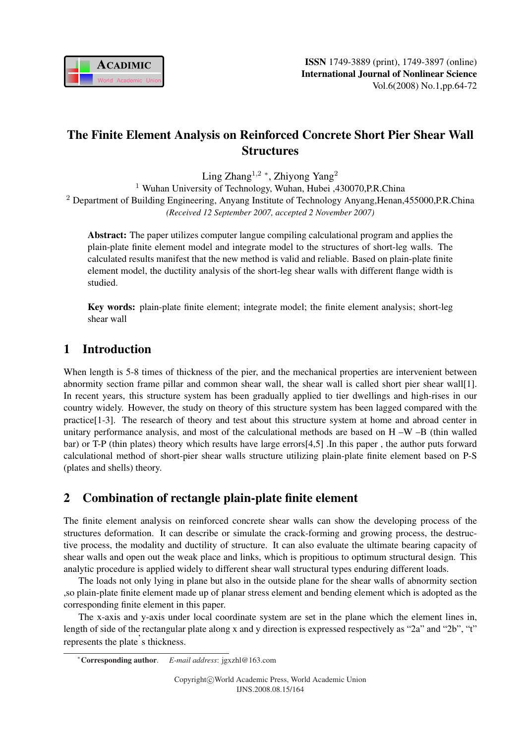

# The Finite Element Analysis on Reinforced Concrete Short Pier Shear Wall **Structures**

Ling  $\text{Zhang}^{1,2}$  \*, Zhiyong  $\text{Yang}^2$ 

<sup>1</sup> Wuhan University of Technology, Wuhan, Hubei ,430070, P.R.China <sup>2</sup> Department of Building Engineering, Anyang Institute of Technology Anyang, Henan, 455000, P.R.China *(Received 12 September 2007, accepted 2 November 2007)*

Abstract: The paper utilizes computer langue compiling calculational program and applies the plain-plate finite element model and integrate model to the structures of short-leg walls. The calculated results manifest that the new method is valid and reliable. Based on plain-plate finite element model, the ductility analysis of the short-leg shear walls with different flange width is studied.

Key words: plain-plate finite element; integrate model; the finite element analysis; short-leg shear wall

# 1 Introduction

When length is 5-8 times of thickness of the pier, and the mechanical properties are intervenient between abnormity section frame pillar and common shear wall, the shear wall is called short pier shear wall[1]. In recent years, this structure system has been gradually applied to tier dwellings and high-rises in our country widely. However, the study on theory of this structure system has been lagged compared with the practice[1-3]. The research of theory and test about this structure system at home and abroad center in unitary performance analysis, and most of the calculational methods are based on  $H - W - B$  (thin walled bar) or T-P (thin plates) theory which results have large errors[4,5] .In this paper , the author puts forward calculational method of short-pier shear walls structure utilizing plain-plate finite element based on P-S (plates and shells) theory.

# 2 Combination of rectangle plain-plate finite element

The finite element analysis on reinforced concrete shear walls can show the developing process of the structures deformation. It can describe or simulate the crack-forming and growing process, the destructive process, the modality and ductility of structure. It can also evaluate the ultimate bearing capacity of shear walls and open out the weak place and links, which is propitious to optimum structural design. This analytic procedure is applied widely to different shear wall structural types enduring different loads.

The loads not only lying in plane but also in the outside plane for the shear walls of abnormity section ,so plain-plate finite element made up of planar stress element and bending element which is adopted as the corresponding finite element in this paper.

The x-axis and y-axis under local coordinate system are set in the plane which the element lines in, length of side of the rectangular plate along x and y direction is expressed respectively as "2a" and "2b", "t" represents the plate' s thickness.

<sup>∗</sup>Corresponding author. *E-mail address*: jgxzhl@163.com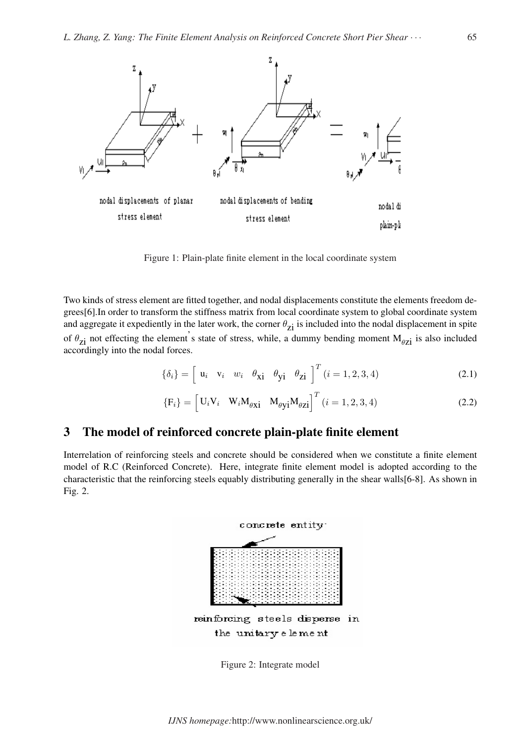

Figure 1: Plain-plate finite element in the local coordinate system

Two kinds of stress element are fitted together, and nodal displacements constitute the elements freedom degrees[6].In order to transform the stiffness matrix from local coordinate system to global coordinate system and aggregate it expediently in the later work, the corner  $\theta_{zi}$  is included into the nodal displacement in spite of  $\theta_{zi}$  not effecting the element's state of stress, while, a dummy bending moment  $M_{\theta zi}$  is also included accordingly into the nodal forces.

$$
\{\delta_i\} = \begin{bmatrix} u_i & v_i & w_i & \theta_{xi} & \theta_{yi} & \theta_{zi} \end{bmatrix}^T (i = 1, 2, 3, 4)
$$
 (2.1)

$$
\{F_i\} = \begin{bmatrix} U_i V_i & W_i M_{\theta X} i & M_{\theta Y} i M_{\theta Z} i \end{bmatrix}^T (i = 1, 2, 3, 4)
$$
 (2.2)

## 3 The model of reinforced concrete plain-plate finite element

Interrelation of reinforcing steels and concrete should be considered when we constitute a finite element model of R.C (Reinforced Concrete). Here, integrate finite element model is adopted according to the characteristic that the reinforcing steels equably distributing generally in the shear walls[6-8]. As shown in Fig. 2.



Figure 2: Integrate model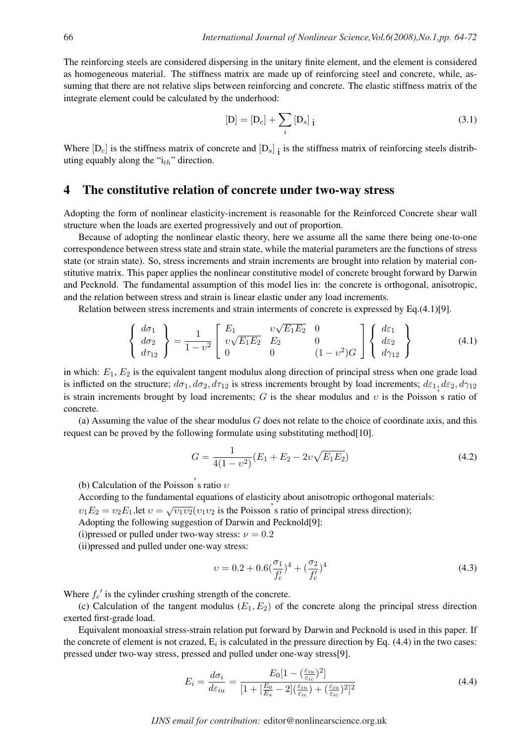The reinforcing steels are considered dispersing in the unitary finite element, and the element is considered as homogeneous material. The stiffness matrix are made up of reinforcing steel and concrete, while, assuming that there are not relative slips between reinforcing and concrete. The elastic stiffness matrix of the integrate element could be calculated by the underhood:

$$
[D] = [D_c] + \sum_{i} [D_s]_{i}
$$
 (3.1)

Where  $[D_c]$  is the stiffness matrix of concrete and  $[D_s]_1$  is the stiffness matrix of reinforcing steels distributing equably along the " $i_{th}$ " direction.

## 4 The constitutive relation of concrete under two-way stress

Adopting the form of nonlinear elasticity-increment is reasonable for the Reinforced Concrete shear wall structure when the loads are exerted progressively and out of proportion.

Because of adopting the nonlinear elastic theory, here we assume all the same there being one-to-one correspondence between stress state and strain state, while the material parameters are the functions of stress state (or strain state). So, stress increments and strain increments are brought into relation by material constitutive matrix. This paper applies the nonlinear constitutive model of concrete brought forward by Darwin and Pecknold. The fundamental assumption of this model lies in: the concrete is orthogonal, anisotropic, and the relation between stress and strain is linear elastic under any load increments.

Relation between stress increments and strain interments of concrete is expressed by Eq.(4.1)[9].

$$
\begin{Bmatrix} d\sigma_1 \\ d\sigma_2 \\ d\tau_{12} \end{Bmatrix} = \frac{1}{1 - v^2} \begin{bmatrix} E_1 & v\sqrt{E_1 E_2} & 0 \\ v\sqrt{E_1 E_2} & E_2 & 0 \\ 0 & 0 & (1 - v^2)G \end{bmatrix} \begin{Bmatrix} d\varepsilon_1 \\ d\varepsilon_2 \\ d\gamma_{12} \end{Bmatrix}
$$
(4.1)

in which:  $E_1, E_2$  is the equivalent tangent modulus along direction of principal stress when one grade load is inflicted on the structure;  $d\sigma_1$ ,  $d\sigma_2$ ,  $d\tau_{12}$  is stress increments brought by load increments;  $d\varepsilon_1$ ,  $d\varepsilon_2$ ,  $d\gamma_{12}$ is strain increments brought by load increments; G is the shear modulus and v is the Poisson's ratio of concrete.

(a) Assuming the value of the shear modulus  $G$  does not relate to the choice of coordinate axis, and this request can be proved by the following formulate using substituting method[10].

$$
G = \frac{1}{4(1 - v^2)} (E_1 + E_2 - 2v\sqrt{E_1 E_2})
$$
\n(4.2)

(b) Calculation of the Poisson's ratio  $v$ 

According to the fundamental equations of elasticity about anisotropic orthogonal materials:

 $v_1E_2 = v_2E_1$ , let  $v = \sqrt{v_1v_2}(v_1v_2)$  is the Poisson's ratio of principal stress direction);

Adopting the following suggestion of Darwin and Pecknold[9]:

(i)pressed or pulled under two-way stress:  $\nu = 0.2$ 

(ii)pressed and pulled under one-way stress:

$$
v = 0.2 + 0.6\left(\frac{\sigma_1}{f_c'}\right)^4 + \left(\frac{\sigma_2}{f_c'}\right)^4\tag{4.3}
$$

Where  $f'_c$  is the cylinder crushing strength of the concrete.

(c) Calculation of the tangent modulus  $(E_1, E_2)$  of the concrete along the principal stress direction exerted first-grade load.

Equivalent monoaxial stress-strain relation put forward by Darwin and Pecknold is used in this paper. If the concrete of element is not crazed,  $E_i$  is calculated in the pressure direction by Eq. (4.4) in the two cases: pressed under two-way stress, pressed and pulled under one-way stress[9].

$$
E_i = \frac{d\sigma_i}{d\varepsilon_{iu}} = \frac{E_0[1 - (\frac{\varepsilon_{iu}}{\varepsilon_{ic}})^2]}{[1 + [\frac{E_0}{E_s} - 2](\frac{\varepsilon_{iu}}{\varepsilon_{ic}}) + (\frac{\varepsilon_{iu}}{\varepsilon_{ic}})^2]^2}
$$
(4.4)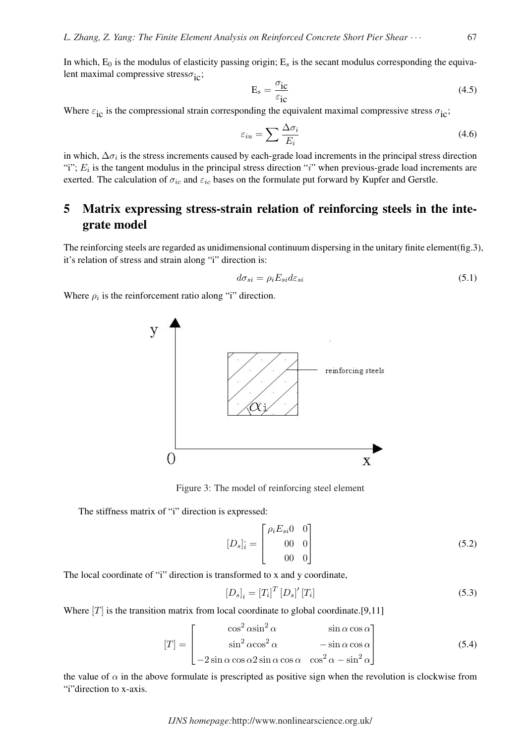In which,  $E_0$  is the modulus of elasticity passing origin;  $E_s$  is the secant modulus corresponding the equivalent maximal compressive stress $\sigma_{\rm ic}$ ;

$$
E_s = \frac{\sigma_{ic}}{\varepsilon_{ic}} \tag{4.5}
$$

Where  $\varepsilon_{\rm ic}$  is the compressional strain corresponding the equivalent maximal compressive stress  $\sigma_{\rm ic}$ ;

$$
\varepsilon_{iu} = \sum \frac{\Delta \sigma_i}{E_i} \tag{4.6}
$$

in which,  $\Delta \sigma_i$  is the stress increments caused by each-grade load increments in the principal stress direction "i";  $E_i$  is the tangent modulus in the principal stress direction "i" when previous-grade load increments are exerted. The calculation of  $\sigma_{ic}$  and  $\varepsilon_{ic}$  bases on the formulate put forward by Kupfer and Gerstle.

# 5 Matrix expressing stress-strain relation of reinforcing steels in the integrate model

The reinforcing steels are regarded as unidimensional continuum dispersing in the unitary finite element(fig.3), it's relation of stress and strain along "i" direction is:

$$
d\sigma_{si} = \rho_i E_{si} d\varepsilon_{si} \tag{5.1}
$$

Where  $\rho_i$  is the reinforcement ratio along "i" direction.



Figure 3: The model of reinforcing steel element

The stiffness matrix of "i" direction is expressed:

$$
[D_s]_i^{\prime} = \begin{bmatrix} \rho_i E_{si} 0 & 0 \\ 00 & 0 \\ 00 & 0 \end{bmatrix}
$$
 (5.2)

The local coordinate of "i" direction is transformed to x and y coordinate,

$$
[D_s]_i = [T_i]^T [D_s]' [T_i]
$$
\n
$$
(5.3)
$$

Where  $[T]$  is the transition matrix from local coordinate to global coordinate.[9,11]

$$
[T] = \begin{bmatrix} \cos^2 \alpha \sin^2 \alpha & \sin \alpha \cos \alpha \\ \sin^2 \alpha \cos^2 \alpha & -\sin \alpha \cos \alpha \\ -2 \sin \alpha \cos \alpha 2 \sin \alpha \cos \alpha & \cos^2 \alpha - \sin^2 \alpha \end{bmatrix}
$$
(5.4)

the value of  $\alpha$  in the above formulate is prescripted as positive sign when the revolution is clockwise from "i"direction to x-axis.

*IJNS homepage:*http://www.nonlinearscience.org.uk/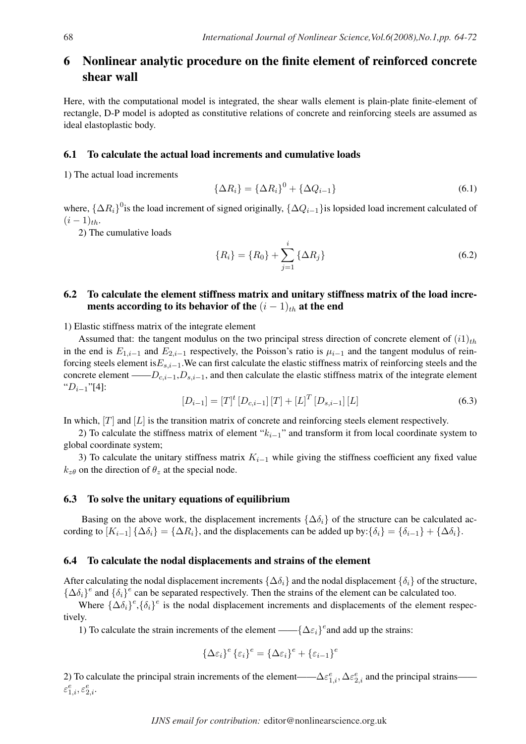## 6 Nonlinear analytic procedure on the finite element of reinforced concrete shear wall

Here, with the computational model is integrated, the shear walls element is plain-plate finite-element of rectangle, D-P model is adopted as constitutive relations of concrete and reinforcing steels are assumed as ideal elastoplastic body.

#### 6.1 To calculate the actual load increments and cumulative loads

1) The actual load increments

$$
\{\Delta R_i\} = \{\Delta R_i\}^0 + \{\Delta Q_{i-1}\}\tag{6.1}
$$

where,  $\{\Delta R_i\}^0$  is the load increment of signed originally,  $\{\Delta Q_{i-1}\}$  is lopsided load increment calculated of  $(i - 1)_{th}$ .

2) The cumulative loads

$$
\{R_i\} = \{R_0\} + \sum_{j=1}^{i} \{\Delta R_j\}
$$
 (6.2)

### 6.2 To calculate the element stiffness matrix and unitary stiffness matrix of the load increments according to its behavior of the  $(i - 1)<sub>th</sub>$  at the end

1) Elastic stiffness matrix of the integrate element

Assumed that: the tangent modulus on the two principal stress direction of concrete element of  $(i1)_{th}$ in the end is  $E_{1,i-1}$  and  $E_{2,i-1}$  respectively, the Poisson's ratio is  $\mu_{i-1}$  and the tangent modulus of reinforcing steels element is $E_{s,i-1}$ .We can first calculate the elastic stiffness matrix of reinforcing steels and the concrete element —— $D_{c,i-1}, D_{s,i-1}$ , and then calculate the elastic stiffness matrix of the integrate element " $D_{i-1}$ "[4]:

$$
[D_{i-1}] = [T]^t [D_{c,i-1}] [T] + [L]^T [D_{s,i-1}] [L]
$$
\n(6.3)

In which,  $[T]$  and  $[L]$  is the transition matrix of concrete and reinforcing steels element respectively.

2) To calculate the stiffness matrix of element " $k_{i-1}$ " and transform it from local coordinate system to global coordinate system;

3) To calculate the unitary stiffness matrix  $K_{i-1}$  while giving the stiffness coefficient any fixed value  $k_{z\theta}$  on the direction of  $\theta_z$  at the special node.

#### 6.3 To solve the unitary equations of equilibrium

Basing on the above work, the displacement increments { $\Delta \delta_i$ } of the structure can be calculated according to  $[K_{i-1}]$  { $\Delta \delta_i$ } = { $\Delta R_i$ }, and the displacements can be added up by: { $\delta_i$ } = { $\delta_{i-1}$ } + { $\Delta \delta_i$ }.

#### 6.4 To calculate the nodal displacements and strains of the element

After calculating the nodal displacement increments  $\{\Delta \delta_i\}$  and the nodal displacement  $\{\delta_i\}$  of the structure,  ${\{\Delta \delta_i\}}^e$  and  ${\{\delta_i\}}^e$  can be separated respectively. Then the strains of the element can be calculated too.

Where  $\{\Delta \delta_i\}^e$ ,  $\{\delta_i\}^e$  is the nodal displacement increments and displacements of the element respectively.

1) To calculate the strain increments of the element ——{ $\Delta \epsilon_i$ }<sup>e</sup> and add up the strains:

$$
\{\Delta\varepsilon_i\}^e \{\varepsilon_i\}^e = \{\Delta\varepsilon_i\}^e + \{\varepsilon_{i-1}\}^e
$$

2) To calculate the principal strain increments of the element—— $\Delta \varepsilon_{1,i}^e, \Delta \varepsilon_{2,i}^e$  and the principal strains——  $\varepsilon^e_{1,i}, \varepsilon^e_{2,i}.$ 

*IJNS email for contribution:* editor@nonlinearscience.org.uk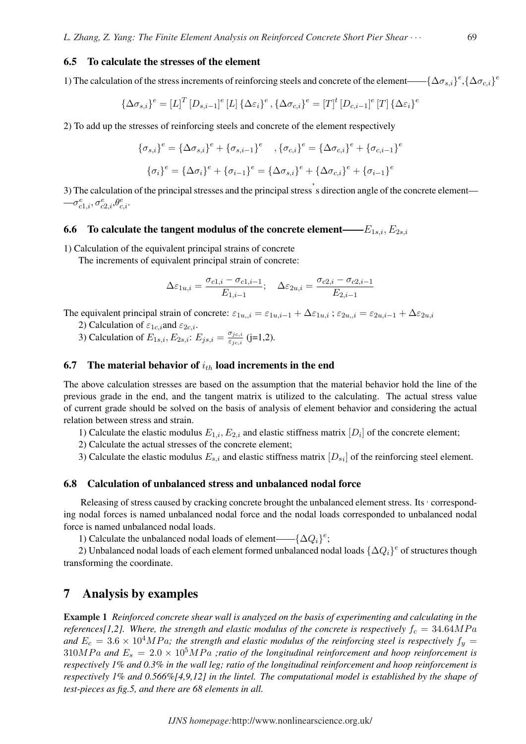#### 6.5 To calculate the stresses of the element

1) The calculation of the stress increments of reinforcing steels and concrete of the element——{ $\Delta \sigma_{s,i}$ }<sup>e</sup>, { $\Delta \sigma_{c,i}$ }<sup>e</sup>

$$
\{\Delta \sigma_{s,i}\}^e = [L]^T [D_{s,i-1}]^e [L] \{\Delta \varepsilon_i\}^e, \{\Delta \sigma_{c,i}\}^e = [T]^t [D_{c,i-1}]^e [T] \{\Delta \varepsilon_i\}^e
$$

2) To add up the stresses of reinforcing steels and concrete of the element respectively

$$
\{\sigma_{s,i}\}^e = \{\Delta \sigma_{s,i}\}^e + \{\sigma_{s,i-1}\}^e, \{\sigma_{c,i}\}^e = \{\Delta \sigma_{c,i}\}^e + \{\sigma_{c,i-1}\}\
$$

$$
\{\sigma_i\}^e = \{\Delta \sigma_i\}^e + \{\sigma_{i-1}\}^e = \{\Delta \sigma_{s,i}\}^e + \{\Delta \sigma_{c,i}\}^e + \{\sigma_{i-1}\}^e
$$

3) The calculation of the principal stresses and the principal stress' s direction angle of the concrete element—  $-\sigma_{c1,i}^e,\sigma_{c2,i}^e,\theta_{c,i}^e.$ 

#### 6.6 To calculate the tangent modulus of the concrete element—— $E_{1s,i}, E_{2s,i}$

1) Calculation of the equivalent principal strains of concrete

The increments of equivalent principal strain of concrete:

$$
\Delta \varepsilon_{1u,i} = \frac{\sigma_{c1,i} - \sigma_{c1,i-1}}{E_{1,i-1}}; \quad \Delta \varepsilon_{2u,i} = \frac{\sigma_{c2,i} - \sigma_{c2,i-1}}{E_{2,i-1}}
$$

The equivalent principal strain of concrete:  $\varepsilon_{1u,j} = \varepsilon_{1u,i-1} + \Delta \varepsilon_{1u,i}$ ;  $\varepsilon_{2u,j} = \varepsilon_{2u,i-1} + \Delta \varepsilon_{2u,i}$ 

2) Calculation of  $\varepsilon_{1c,i}$  and  $\varepsilon_{2c,i}$ .

3) Calculation of  $E_{1s,i}$ ,  $E_{2s,i}$ :  $E_{js,i} = \frac{\sigma_{jc,i}}{\sigma_{jsi,i}}$  $\frac{\sigma_{jc,i}}{\varepsilon_{jc,i}}$  (j=1,2).

#### 6.7 The material behavior of  $i_{th}$  load increments in the end

The above calculation stresses are based on the assumption that the material behavior hold the line of the previous grade in the end, and the tangent matrix is utilized to the calculating. The actual stress value of current grade should be solved on the basis of analysis of element behavior and considering the actual relation between stress and strain.

- 1) Calculate the elastic modulus  $E_{1,i}, E_{2,i}$  and elastic stiffness matrix  $[D_i]$  of the concrete element;
- 2) Calculate the actual stresses of the concrete element;
- 3) Calculate the elastic modulus  $E_{s,i}$  and elastic stiffness matrix  $[D_{si}]$  of the reinforcing steel element.

#### 6.8 Calculation of unbalanced stress and unbalanced nodal force

Releasing of stress caused by cracking concrete brought the unbalanced element stress. Its · corresponding nodal forces is named unbalanced nodal force and the nodal loads corresponded to unbalanced nodal force is named unbalanced nodal loads.

1) Calculate the unbalanced nodal loads of element——{ $\Delta Q_i$ }<sup>e</sup>;

2) Unbalanced nodal loads of each element formed unbalanced nodal loads  $\{\Delta Q_i\}^e$  of structures though transforming the coordinate.

### 7 Analysis by examples

Example 1 *Reinforced concrete shear wall is analyzed on the basis of experimenting and calculating in the references*[1,2]. Where, the strength and elastic modulus of the concrete is respectively  $f_c = 34.64 MPa$ and  $E_c = 3.6 \times 10^4 MPa$ ; the strength and elastic modulus of the reinforcing steel is respectively  $f_y =$  $310MPa$  and  $E_s = 2.0 \times 10^5 MPa$  *; ratio of the longitudinal reinforcement and hoop reinforcement is respectively 1% and 0.3% in the wall leg; ratio of the longitudinal reinforcement and hoop reinforcement is respectively 1% and 0.566%[4,9,12] in the lintel. The computational model is established by the shape of test-pieces as fig.5, and there are 68 elements in all.*

e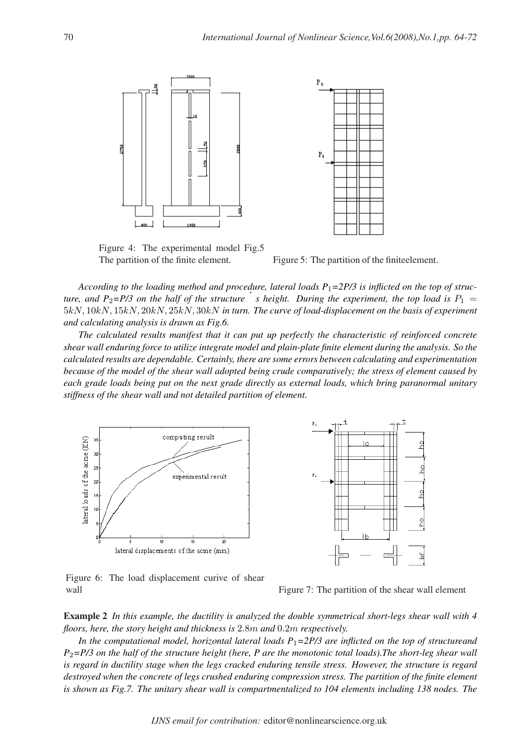

Figure 4: The experimental model Fig.5 The partition of the finite element. Figure 5: The partition of the finite element.



*According to the loading method and procedure, lateral loads P*1*=2P/3 is inflicted on the top of structure, and P*<sub>2</sub>=*P*/3 on the half of the structure  $\dot{\phantom{a}}$  is height. During the experiment, the top load is  $P_1$  = 5kN, 10kN, 15kN, 20kN, 25kN, 30kN *in turn. The curve of load-displacement on the basis of experiment and calculating analysis is drawn as Fig.6.*

*The calculated results manifest that it can put up perfectly the characteristic of reinforced concrete shear wall enduring force to utilize integrate model and plain-plate finite element during the analysis. So the calculated results are dependable. Certainly, there are some errors between calculating and experimentation because of the model of the shear wall adopted being crude comparatively; the stress of element caused by each grade loads being put on the next grade directly as external loads, which bring paranormal unitary stiffness of the shear wall and not detailed partition of element.*



Figure 6: The load displacement curive of shear wall wall Figure 7: The partition of the shear wall element

Example 2 *In this example, the ductility is analyzed the double symmetrical short-legs shear wall with 4 floors, here, the story height and thickness is* 2.8m *and* 0.2m *respectively.*

*In the computational model, horizontal lateral loads P*1*=2P/3 are inflicted on the top of structureand P*2*=P/3 on the half of the structure height (here, P are the monotonic total loads).The short-leg shear wall is regard in ductility stage when the legs cracked enduring tensile stress. However, the structure is regard destroyed when the concrete of legs crushed enduring compression stress. The partition of the finite element is shown as Fig.7. The unitary shear wall is compartmentalized to 104 elements including 138 nodes. The*

*IJNS email for contribution:* editor@nonlinearscience.org.uk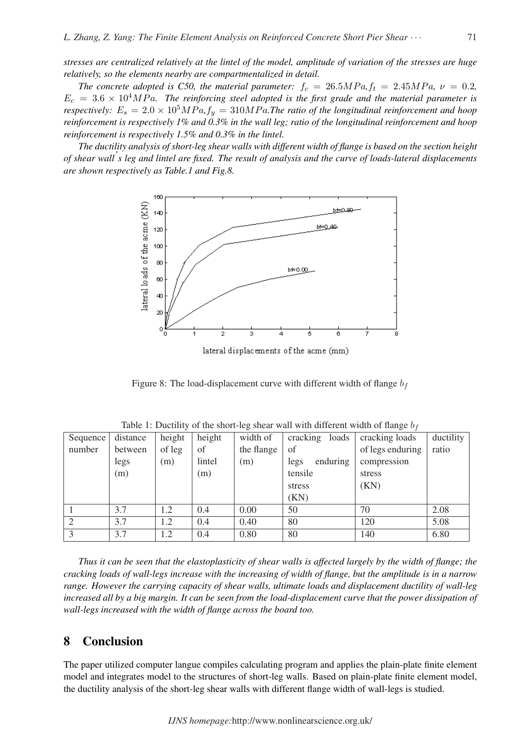*stresses are centralized relatively at the lintel of the model, amplitude of variation of the stresses are huge relatively, so the elements nearby are compartmentalized in detail.*

*The concrete adopted is C50, the material parameter:*  $f_c = 26.5 MPa$ ,  $f_t = 2.45 MPa$ ,  $\nu = 0.2$ ,  $E_c = 3.6 \times 10^4 MPa$ . The reinforcing steel adopted is the first grade and the material parameter is *respectively:*  $E_s = 2.0 \times 10^5 MPa$ ,  $f_y = 310 MPa$ . The ratio of the longitudinal reinforcement and hoop *reinforcement is respectively 1% and 0.3% in the wall leg; ratio of the longitudinal reinforcement and hoop reinforcement is respectively 1.5% and 0.3% in the lintel.*

*The ductility analysis of short-leg shear walls with different width of flange is based on the section height of shear wall' s leg and lintel are fixed. The result of analysis and the curve of loads-lateral displacements are shown respectively as Table.1 and Fig.8.*



lateral displacements of the acme (mm)

Figure 8: The load-displacement curve with different width of flange  $b_f$ 

| Sequence | distance | height | height | width of   | cracking loads   | cracking loads   | ductility |
|----------|----------|--------|--------|------------|------------------|------------------|-----------|
| number   | between  | of leg | of     | the flange | of               | of legs enduring | ratio     |
|          | legs     | (m)    | lintel | (m)        | enduring<br>legs | compression      |           |
|          | (m)      |        | (m)    |            | tensile          | stress           |           |
|          |          |        |        |            | stress           | (KN)             |           |
|          |          |        |        |            | (KN)             |                  |           |
|          | 3.7      | 1.2    | 0.4    | 0.00       | 50               | 70               | 2.08      |
|          | 3.7      | 1.2    | 0.4    | 0.40       | 80               | 120              | 5.08      |
|          | 3.7      | 1.2    | 0.4    | 0.80       | 80               | 140              | 6.80      |

|  |  | Table 1: Ductility of the short-leg shear wall with different width of flange $b_f$ |  |  |  |  |  |  |
|--|--|-------------------------------------------------------------------------------------|--|--|--|--|--|--|
|--|--|-------------------------------------------------------------------------------------|--|--|--|--|--|--|

*Thus it can be seen that the elastoplasticity of shear walls is affected largely by the width of flange; the cracking loads of wall-legs increase with the increasing of width of flange, but the amplitude is in a narrow range. However the carrying capacity of shear walls, ultimate loads and displacement ductility of wall-leg increased all by a big margin. It can be seen from the load-displacement curve that the power dissipation of wall-legs increased with the width of flange across the board too.*

## 8 Conclusion

The paper utilized computer langue compiles calculating program and applies the plain-plate finite element model and integrates model to the structures of short-leg walls. Based on plain-plate finite element model, the ductility analysis of the short-leg shear walls with different flange width of wall-legs is studied.